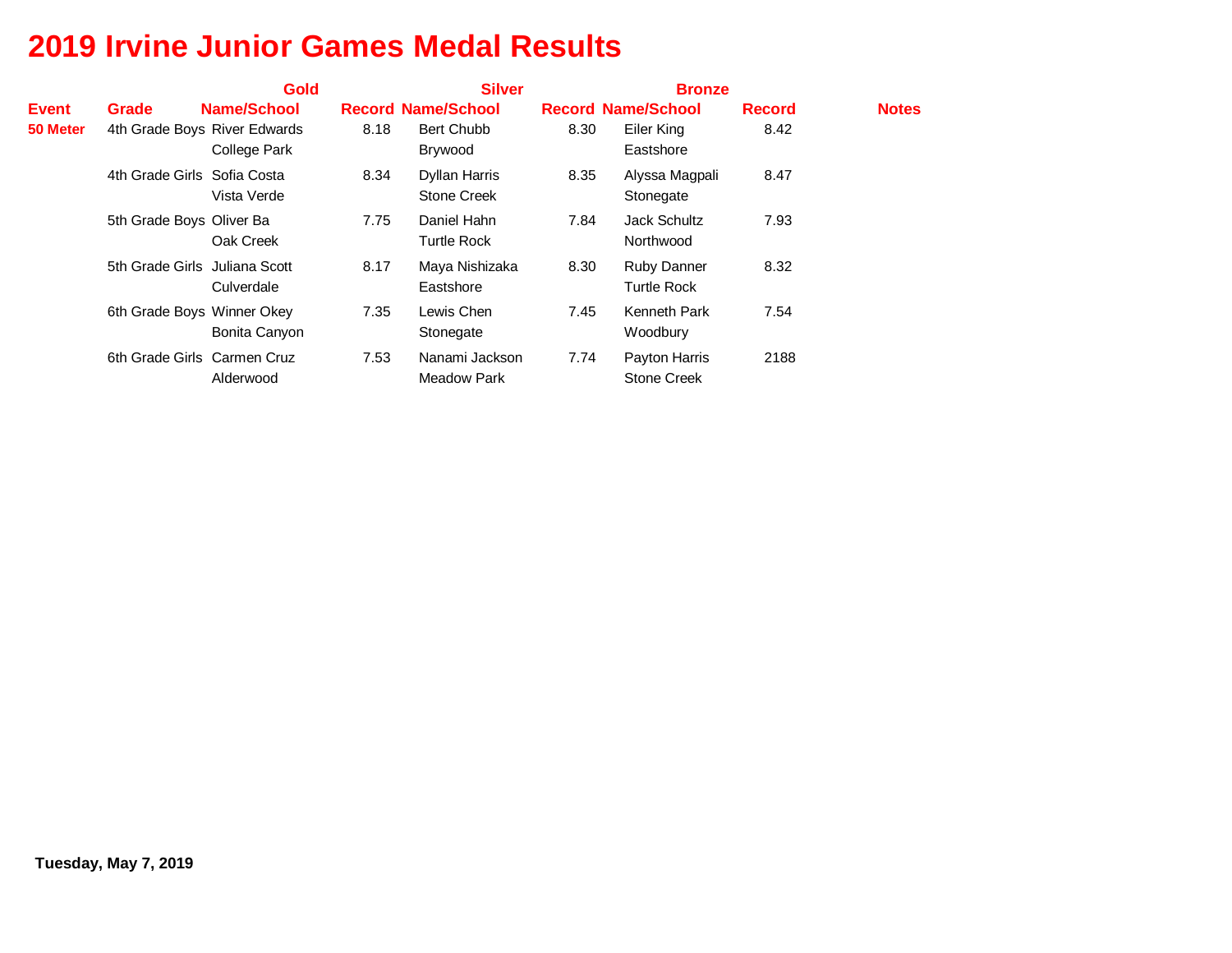|              |                               | <b>Gold</b>   |      | <b>Silver</b>                       |      | <b>Bronze</b>                            |               |              |
|--------------|-------------------------------|---------------|------|-------------------------------------|------|------------------------------------------|---------------|--------------|
| <b>Event</b> | Grade                         | Name/School   |      | <b>Record Name/School</b>           |      | <b>Record Name/School</b>                | <b>Record</b> | <b>Notes</b> |
| 50 Meter     | 4th Grade Boys River Edwards  | College Park  | 8.18 | <b>Bert Chubb</b><br>Brywood        | 8.30 | Eiler King<br>Eastshore                  | 8.42          |              |
|              | 4th Grade Girls Sofia Costa   | Vista Verde   | 8.34 | Dyllan Harris<br><b>Stone Creek</b> | 8.35 | Alyssa Magpali<br>Stonegate              | 8.47          |              |
|              | 5th Grade Boys Oliver Ba      | Oak Creek     | 7.75 | Daniel Hahn<br><b>Turtle Rock</b>   | 7.84 | Jack Schultz<br>Northwood                | 7.93          |              |
|              | 5th Grade Girls Juliana Scott | Culverdale    | 8.17 | Maya Nishizaka<br>Eastshore         | 8.30 | <b>Ruby Danner</b><br><b>Turtle Rock</b> | 8.32          |              |
|              | 6th Grade Boys Winner Okey    | Bonita Canyon | 7.35 | Lewis Chen<br>Stonegate             | 7.45 | Kenneth Park<br>Woodbury                 | 7.54          |              |
|              | 6th Grade Girls Carmen Cruz   | Alderwood     | 7.53 | Nanami Jackson<br>Meadow Park       | 7.74 | Payton Harris<br><b>Stone Creek</b>      | 2188          |              |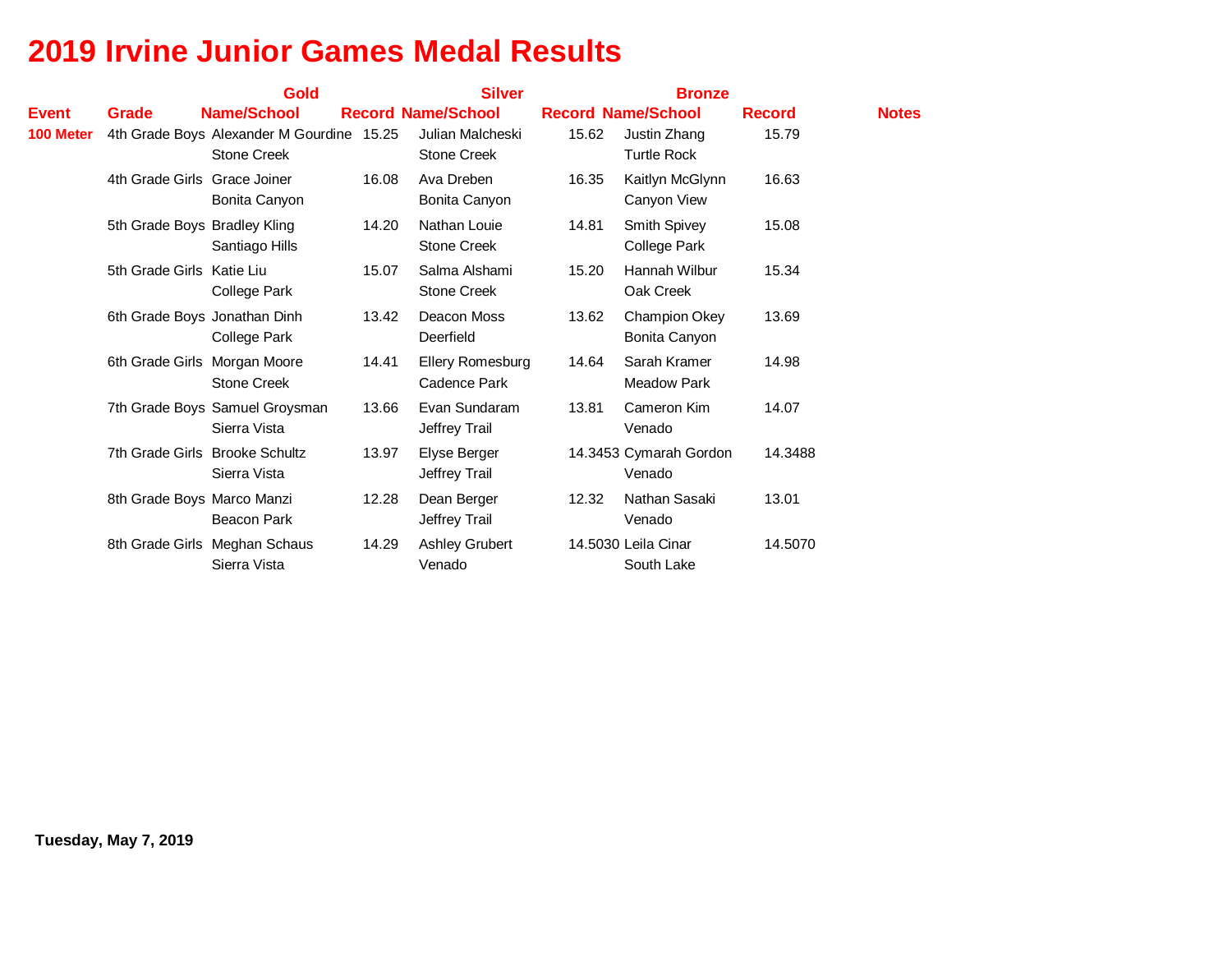|              |                              | <b>Gold</b>                                                     |       | <b>Silver</b>                          |       | <b>Bronze</b>                       | <b>Notes</b> |               |
|--------------|------------------------------|-----------------------------------------------------------------|-------|----------------------------------------|-------|-------------------------------------|--------------|---------------|
| <b>Event</b> | Grade                        | <b>Name/School</b>                                              |       | <b>Record Name/School</b>              |       | <b>Record Name/School</b>           |              | <b>Record</b> |
| 100 Meter    |                              | 4th Grade Boys Alexander M Gourdine 15.25<br><b>Stone Creek</b> |       | Julian Malcheski<br><b>Stone Creek</b> | 15.62 | Justin Zhang<br><b>Turtle Rock</b>  | 15.79        |               |
|              | 4th Grade Girls Grace Joiner | Bonita Canyon                                                   | 16.08 | Ava Dreben<br>Bonita Canyon            | 16.35 | Kaitlyn McGlynn<br>Canyon View      | 16.63        |               |
|              | 5th Grade Boys Bradley Kling | Santiago Hills                                                  | 14.20 | Nathan Louie<br><b>Stone Creek</b>     | 14.81 | Smith Spivey<br><b>College Park</b> | 15.08        |               |
|              | 5th Grade Girls Katie Liu    | <b>College Park</b>                                             | 15.07 | Salma Alshami<br>Stone Creek           | 15.20 | Hannah Wilbur<br>Oak Creek          | 15.34        |               |
|              |                              | 6th Grade Boys Jonathan Dinh<br><b>College Park</b>             | 13.42 | Deacon Moss<br>Deerfield               | 13.62 | Champion Okey<br>Bonita Canyon      | 13.69        |               |
|              |                              | 6th Grade Girls Morgan Moore<br><b>Stone Creek</b>              | 14.41 | Ellery Romesburg<br>Cadence Park       | 14.64 | Sarah Kramer<br><b>Meadow Park</b>  | 14.98        |               |
|              |                              | 7th Grade Boys Samuel Groysman<br>Sierra Vista                  | 13.66 | Evan Sundaram<br>Jeffrey Trail         | 13.81 | Cameron Kim<br>Venado               | 14.07        |               |
|              |                              | 7th Grade Girls Brooke Schultz<br>Sierra Vista                  | 13.97 | Elyse Berger<br>Jeffrey Trail          |       | 14.3453 Cymarah Gordon<br>Venado    | 14.3488      |               |
|              | 8th Grade Boys Marco Manzi   | <b>Beacon Park</b>                                              | 12.28 | Dean Berger<br>Jeffrey Trail           | 12.32 | Nathan Sasaki<br>Venado             | 13.01        |               |
|              |                              | 8th Grade Girls Meghan Schaus<br>Sierra Vista                   | 14.29 | <b>Ashley Grubert</b><br>Venado        |       | 14.5030 Leila Cinar<br>South Lake   | 14.5070      |               |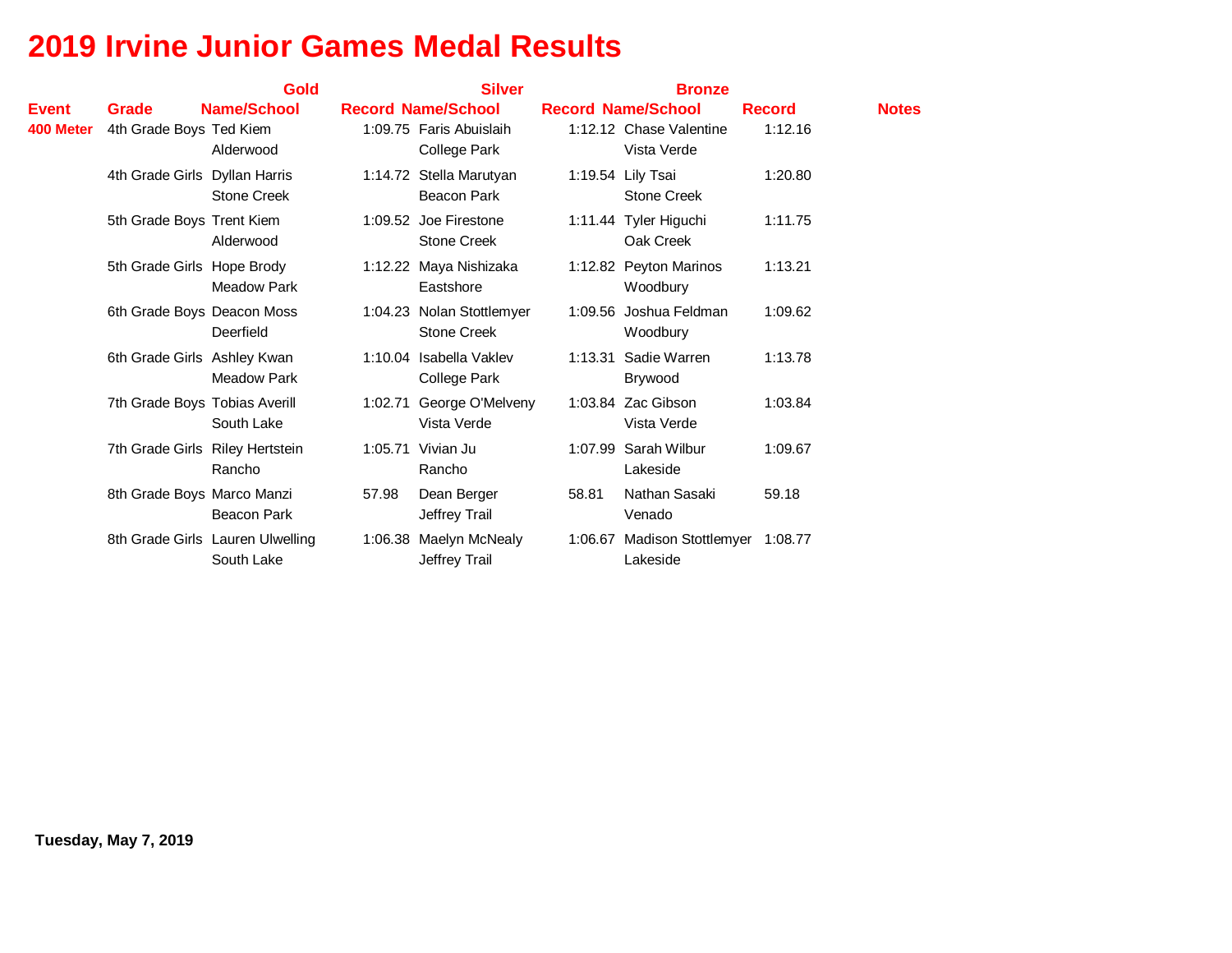|           |                                 | Gold                                           |       | <b>Silver</b>                                   |       | <b>Bronze</b>                                   |               |              |
|-----------|---------------------------------|------------------------------------------------|-------|-------------------------------------------------|-------|-------------------------------------------------|---------------|--------------|
| Event     | Grade                           | <b>Name/School</b>                             |       | <b>Record Name/School</b>                       |       | <b>Record Name/School</b>                       | <b>Record</b> | <b>Notes</b> |
| 400 Meter | 4th Grade Boys Ted Kiem         | Alderwood                                      |       | 1:09.75 Faris Abuislaih<br><b>College Park</b>  |       | 1:12.12 Chase Valentine<br>Vista Verde          | 1:12.16       |              |
|           | 4th Grade Girls Dyllan Harris   | <b>Stone Creek</b>                             |       | 1:14.72 Stella Marutyan<br><b>Beacon Park</b>   |       | 1:19.54 Lily Tsai<br><b>Stone Creek</b>         | 1:20.80       |              |
|           | 5th Grade Boys Trent Kiem       | Alderwood                                      |       | 1:09.52 Joe Firestone<br><b>Stone Creek</b>     |       | 1:11.44 Tyler Higuchi<br>Oak Creek              | 1:11.75       |              |
|           | 5th Grade Girls Hope Brody      | <b>Meadow Park</b>                             |       | 1:12.22 Maya Nishizaka<br>Eastshore             |       | 1:12.82 Peyton Marinos<br>Woodbury              | 1:13.21       |              |
|           | 6th Grade Boys Deacon Moss      | Deerfield                                      |       | 1:04.23 Nolan Stottlemyer<br><b>Stone Creek</b> |       | 1:09.56 Joshua Feldman<br>Woodbury              | 1:09.62       |              |
|           | 6th Grade Girls Ashley Kwan     | <b>Meadow Park</b>                             |       | 1:10.04 Isabella Vaklev<br><b>College Park</b>  |       | 1:13.31 Sadie Warren<br>Brywood                 | 1:13.78       |              |
|           | 7th Grade Boys Tobias Averill   | South Lake                                     |       | 1:02.71 George O'Melveny<br>Vista Verde         |       | 1:03.84 Zac Gibson<br>Vista Verde               | 1:03.84       |              |
|           | 7th Grade Girls Riley Hertstein | Rancho                                         |       | 1:05.71 Vivian Ju<br>Rancho                     |       | 1:07.99 Sarah Wilbur<br>Lakeside                | 1:09.67       |              |
|           | 8th Grade Boys Marco Manzi      | <b>Beacon Park</b>                             | 57.98 | Dean Berger<br>Jeffrey Trail                    | 58.81 | Nathan Sasaki<br>Venado                         | 59.18         |              |
|           |                                 | 8th Grade Girls Lauren Ulwelling<br>South Lake |       | 1:06.38 Maelyn McNealy<br>Jeffrey Trail         |       | 1:06.67 Madison Stottlemyer 1:08.77<br>Lakeside |               |              |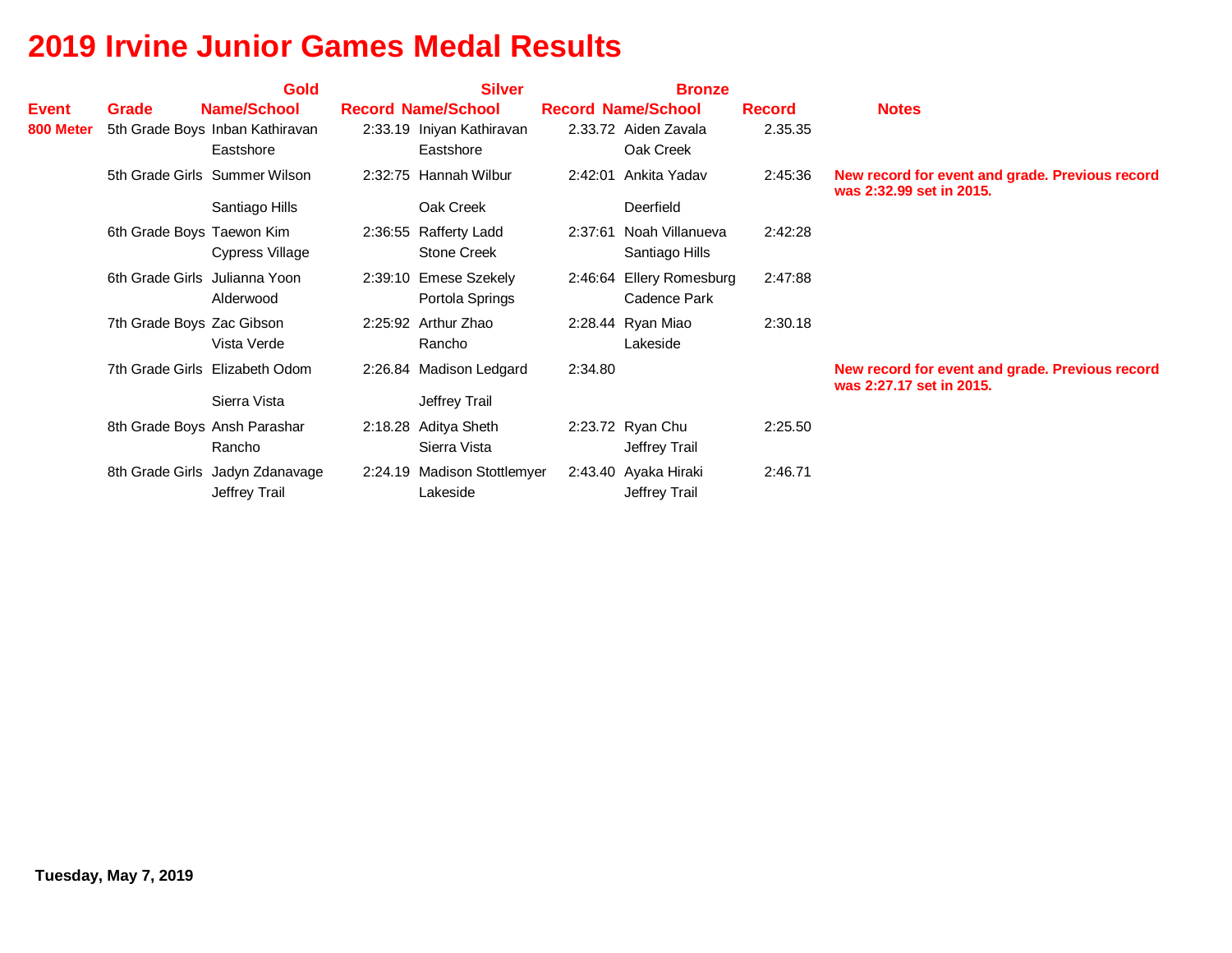|                           |                               | <b>Gold</b>                                                        | <b>Silver</b>                                                       |         | <b>Bronze</b>                                                  |                          |                                                                             |
|---------------------------|-------------------------------|--------------------------------------------------------------------|---------------------------------------------------------------------|---------|----------------------------------------------------------------|--------------------------|-----------------------------------------------------------------------------|
| <b>Event</b><br>800 Meter | Grade                         | <b>Name/School</b><br>5th Grade Boys Inban Kathiravan<br>Eastshore | <b>Record Name/School</b><br>2:33.19 Iniyan Kathiravan<br>Eastshore |         | <b>Record Name/School</b><br>2.33.72 Aiden Zavala<br>Oak Creek | <b>Record</b><br>2.35.35 | <b>Notes</b>                                                                |
|                           |                               | 5th Grade Girls Summer Wilson<br>Santiago Hills                    | 2:32:75 Hannah Wilbur<br>Oak Creek                                  |         | 2:42:01 Ankita Yaday<br>Deerfield                              | 2:45:36                  | New record for event and grade. Previous record<br>was 2:32.99 set in 2015. |
|                           | 6th Grade Boys Taewon Kim     | Cypress Village                                                    | 2:36:55 Rafferty Ladd<br><b>Stone Creek</b>                         |         | 2:37:61 Noah Villanueva<br>Santiago Hills                      | 2:42:28                  |                                                                             |
|                           | 6th Grade Girls Julianna Yoon | Alderwood                                                          | 2:39:10 Emese Szekely<br>Portola Springs                            |         | 2:46:64 Ellery Romesburg<br>Cadence Park                       | 2:47:88                  |                                                                             |
|                           | 7th Grade Boys Zac Gibson     | Vista Verde                                                        | 2:25:92 Arthur Zhao<br>Rancho                                       |         | 2:28.44 Ryan Miao<br>Lakeside                                  | 2:30.18                  |                                                                             |
|                           |                               | 7th Grade Girls Elizabeth Odom<br>Sierra Vista                     | 2:26.84 Madison Ledgard<br>Jeffrey Trail                            | 2:34.80 |                                                                |                          | New record for event and grade. Previous record<br>was 2:27.17 set in 2015. |
|                           |                               | 8th Grade Boys Ansh Parashar<br>Rancho                             | 2:18.28 Aditya Sheth<br>Sierra Vista                                |         | 2:23.72 Ryan Chu<br>Jeffrey Trail                              | 2:25.50                  |                                                                             |
|                           |                               | 8th Grade Girls Jadyn Zdanavage<br>Jeffrey Trail                   | 2:24.19 Madison Stottlemyer<br>Lakeside                             |         | 2:43.40 Ayaka Hiraki<br>Jeffrey Trail                          | 2:46.71                  |                                                                             |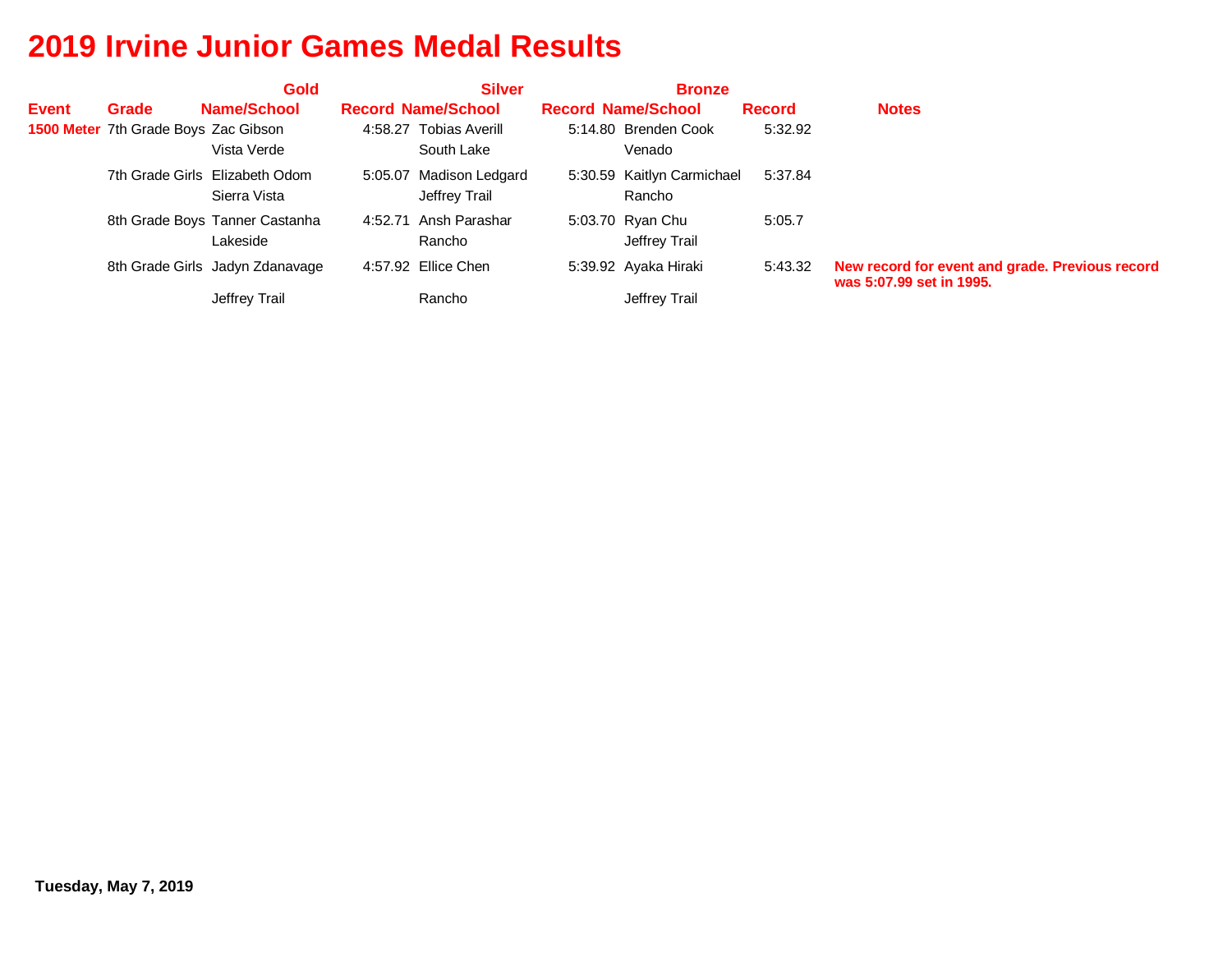|              |                                             | <b>Gold</b>                                    | <b>Silver</b>                            | <b>Bronze</b>                        |               |                                                                             |
|--------------|---------------------------------------------|------------------------------------------------|------------------------------------------|--------------------------------------|---------------|-----------------------------------------------------------------------------|
| <b>Event</b> | Grade                                       | Name/School                                    | <b>Record Name/School</b>                | <b>Record Name/School</b>            | <b>Record</b> | <b>Notes</b>                                                                |
|              | <b>1500 Meter</b> 7th Grade Boys Zac Gibson | Vista Verde                                    | 4:58.27 Tobias Averill<br>South Lake     | 5:14.80 Brenden Cook<br>Venado       | 5:32.92       |                                                                             |
|              |                                             | 7th Grade Girls Elizabeth Odom<br>Sierra Vista | 5:05.07 Madison Ledgard<br>Jeffrey Trail | 5:30.59 Kaitlyn Carmichael<br>Rancho | 5:37.84       |                                                                             |
|              |                                             | 8th Grade Boys Tanner Castanha<br>Lakeside     | 4:52.71 Ansh Parashar<br>Rancho          | 5:03.70 Ryan Chu<br>Jeffrey Trail    | 5:05.7        |                                                                             |
|              |                                             | 8th Grade Girls Jadyn Zdanavage                | 4:57.92 Ellice Chen                      | 5:39.92 Ayaka Hiraki                 | 5:43.32       | New record for event and grade. Previous record<br>was 5:07.99 set in 1995. |
|              |                                             | Jeffrey Trail                                  | Rancho                                   | Jeffrey Trail                        |               |                                                                             |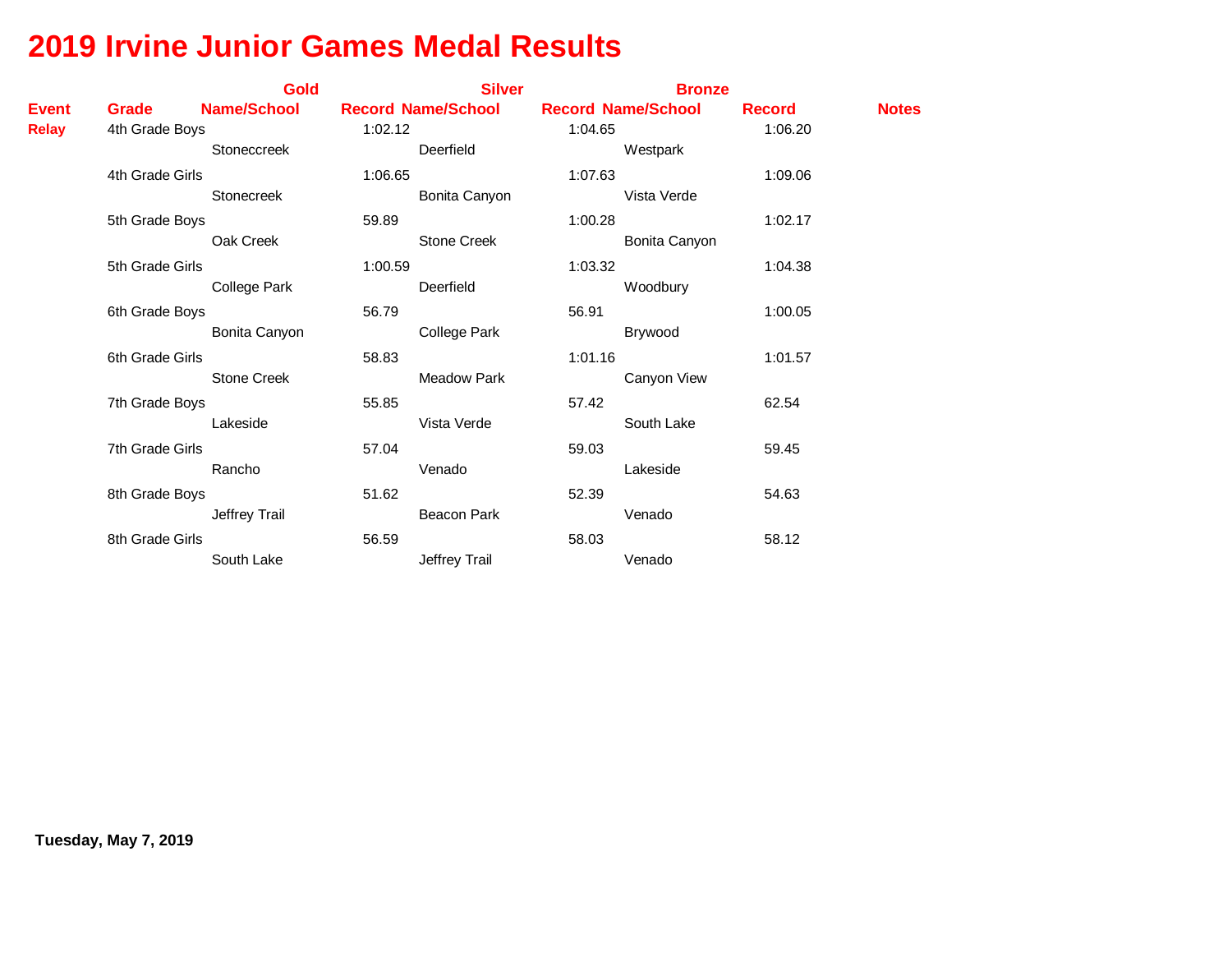|              |                 | <b>Gold</b>         |         | <b>Silver</b>             |         | <b>Bronze</b>             |               |              |
|--------------|-----------------|---------------------|---------|---------------------------|---------|---------------------------|---------------|--------------|
| <b>Event</b> | Grade           | <b>Name/School</b>  |         | <b>Record Name/School</b> |         | <b>Record Name/School</b> | <b>Record</b> | <b>Notes</b> |
| <b>Relay</b> | 4th Grade Boys  |                     | 1:02.12 |                           | 1:04.65 |                           | 1:06.20       |              |
|              |                 | Stoneccreek         |         | Deerfield                 |         | Westpark                  |               |              |
|              | 4th Grade Girls |                     | 1:06.65 |                           | 1:07.63 |                           | 1:09.06       |              |
|              |                 | Stonecreek          |         | Bonita Canyon             |         | Vista Verde               |               |              |
|              | 5th Grade Boys  |                     | 59.89   |                           | 1:00.28 |                           | 1:02.17       |              |
|              |                 | Oak Creek           |         | Stone Creek               |         | Bonita Canyon             |               |              |
|              | 5th Grade Girls |                     | 1:00.59 |                           | 1:03.32 |                           | 1:04.38       |              |
|              |                 | <b>College Park</b> |         | Deerfield                 |         | Woodbury                  |               |              |
|              | 6th Grade Boys  |                     | 56.79   |                           | 56.91   |                           | 1:00.05       |              |
|              |                 | Bonita Canyon       |         | <b>College Park</b>       |         | Brywood                   |               |              |
|              | 6th Grade Girls |                     | 58.83   |                           | 1:01.16 |                           | 1:01.57       |              |
|              |                 | <b>Stone Creek</b>  |         | Meadow Park               |         | Canyon View               |               |              |
|              | 7th Grade Boys  |                     | 55.85   |                           | 57.42   |                           | 62.54         |              |
|              |                 | Lakeside            |         | Vista Verde               |         | South Lake                |               |              |
|              | 7th Grade Girls |                     | 57.04   |                           | 59.03   |                           | 59.45         |              |
|              |                 | Rancho              |         | Venado                    |         | Lakeside                  |               |              |
|              | 8th Grade Boys  |                     | 51.62   |                           | 52.39   |                           | 54.63         |              |
|              |                 | Jeffrey Trail       |         | <b>Beacon Park</b>        |         | Venado                    |               |              |
|              | 8th Grade Girls |                     | 56.59   |                           | 58.03   |                           | 58.12         |              |
|              |                 | South Lake          |         | Jeffrey Trail             |         | Venado                    |               |              |
|              |                 |                     |         |                           |         |                           |               |              |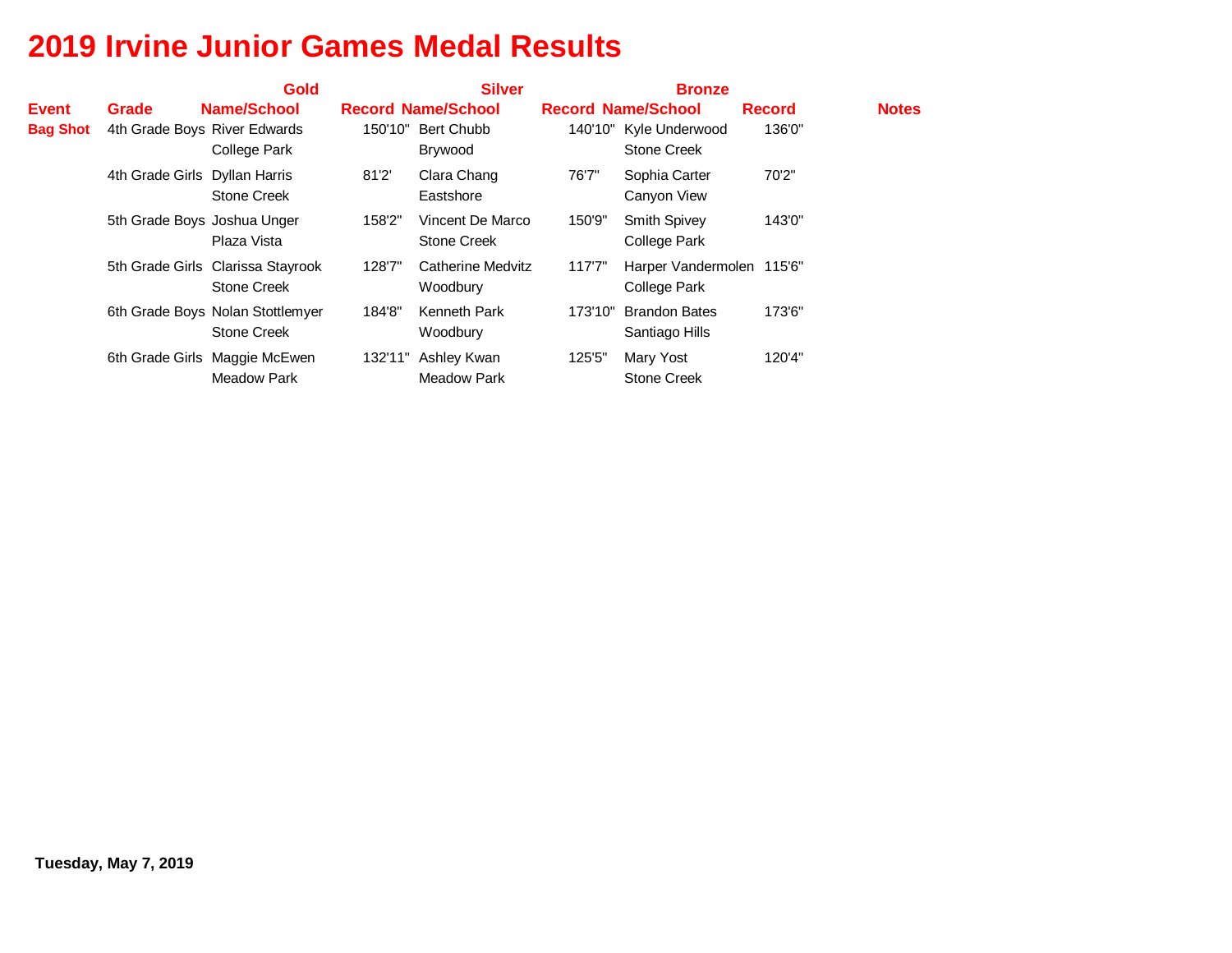|                 |                               | <b>Gold</b>                                             |         | <b>Silver</b>                        |         | <b>Bronze</b>                                |               |              |
|-----------------|-------------------------------|---------------------------------------------------------|---------|--------------------------------------|---------|----------------------------------------------|---------------|--------------|
| <b>Event</b>    | Grade                         | Name/School                                             |         | <b>Record Name/School</b>            |         | <b>Record Name/School</b>                    | <b>Record</b> | <b>Notes</b> |
| <b>Bag Shot</b> | 4th Grade Boys River Edwards  | College Park                                            | 150'10" | Bert Chubb<br>Brywood                |         | 140'10" Kyle Underwood<br><b>Stone Creek</b> | 136'0"        |              |
|                 | 4th Grade Girls Dyllan Harris | Stone Creek                                             | 81'2'   | Clara Chang<br>Eastshore             | 76'7"   | Sophia Carter<br>Canyon View                 | 70'2"         |              |
|                 | 5th Grade Boys Joshua Unger   | Plaza Vista                                             | 158'2"  | Vincent De Marco<br>Stone Creek      | 150'9"  | <b>Smith Spivey</b><br>College Park          | 143'0"        |              |
|                 |                               | 5th Grade Girls Clarissa Stayrook<br><b>Stone Creek</b> | 128'7"  | <b>Catherine Medvitz</b><br>Woodbury | 117'7'' | Harper Vandermolen 115'6"<br>College Park    |               |              |
|                 |                               | 6th Grade Boys Nolan Stottlemyer<br>Stone Creek         | 184'8"  | Kenneth Park<br>Woodbury             | 173'10" | <b>Brandon Bates</b><br>Santiago Hills       | 173'6"        |              |
|                 |                               | 6th Grade Girls Maggie McEwen<br><b>Meadow Park</b>     | 132'11" | Ashley Kwan<br><b>Meadow Park</b>    | 125'5"  | Mary Yost<br><b>Stone Creek</b>              | 120'4"        |              |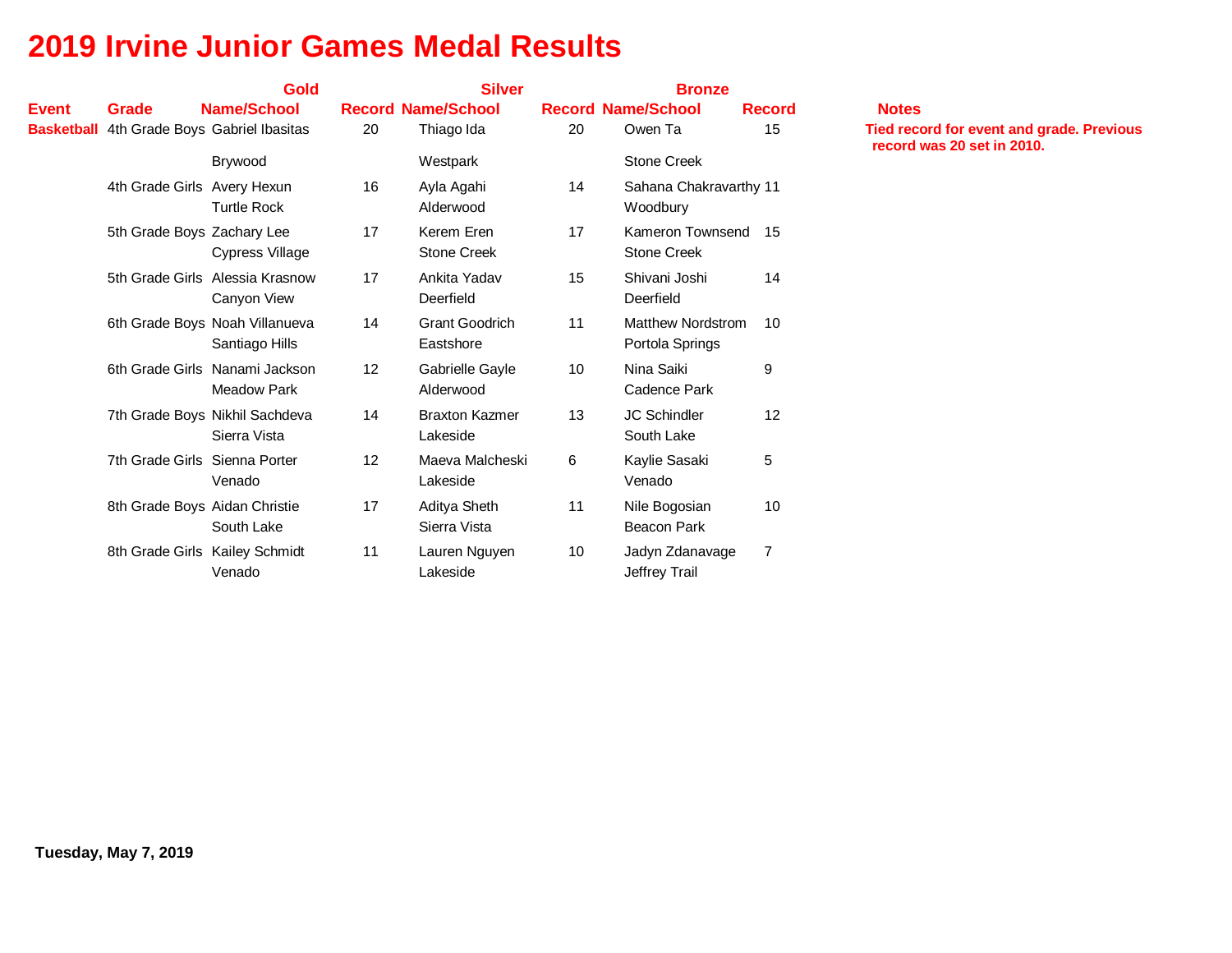|              |                               | Gold                                                 |                 | <b>Silver</b>                      |    |                                           |                |                                                                                |  |  |
|--------------|-------------------------------|------------------------------------------------------|-----------------|------------------------------------|----|-------------------------------------------|----------------|--------------------------------------------------------------------------------|--|--|
| <b>Event</b> | <b>Grade</b>                  | <b>Name/School</b>                                   |                 | <b>Record Name/School</b>          |    | <b>Record Name/School</b>                 | <b>Record</b>  | <b>Notes</b>                                                                   |  |  |
|              |                               | <b>Basketball</b> 4th Grade Boys Gabriel Ibasitas    | 20              | Thiago Ida                         | 20 | Owen Ta                                   | 15             | <b>Tied record for event and grade. Previous</b><br>record was 20 set in 2010. |  |  |
|              |                               | Brywood                                              |                 | Westpark                           |    | <b>Stone Creek</b>                        |                |                                                                                |  |  |
|              | 4th Grade Girls Avery Hexun   | <b>Turtle Rock</b>                                   | 16              | Ayla Agahi<br>Alderwood            | 14 | Sahana Chakravarthy 11<br>Woodbury        |                |                                                                                |  |  |
|              | 5th Grade Boys Zachary Lee    | <b>Cypress Village</b>                               | 17              | Kerem Eren<br><b>Stone Creek</b>   | 17 | Kameron Townsend 15<br><b>Stone Creek</b> |                |                                                                                |  |  |
|              |                               | 5th Grade Girls Alessia Krasnow<br>Canyon View       | 17              | Ankita Yadav<br>Deerfield          | 15 | Shivani Joshi<br>Deerfield                | 14             |                                                                                |  |  |
|              |                               | 6th Grade Boys Noah Villanueva<br>Santiago Hills     | 14              | <b>Grant Goodrich</b><br>Eastshore | 11 | Matthew Nordstrom<br>Portola Springs      | 10             |                                                                                |  |  |
|              |                               | 6th Grade Girls Nanami Jackson<br><b>Meadow Park</b> | 12 <sup>2</sup> | Gabrielle Gayle<br>Alderwood       | 10 | Nina Saiki<br>Cadence Park                | 9              |                                                                                |  |  |
|              |                               | 7th Grade Boys Nikhil Sachdeva<br>Sierra Vista       | 14              | <b>Braxton Kazmer</b><br>Lakeside  | 13 | <b>JC Schindler</b><br>South Lake         | 12             |                                                                                |  |  |
|              | 7th Grade Girls Sienna Porter | Venado                                               | 12 <sup>2</sup> | Maeva Malcheski<br>Lakeside        | 6  | Kaylie Sasaki<br>Venado                   | 5              |                                                                                |  |  |
|              | 8th Grade Boys Aidan Christie | South Lake                                           | 17              | Aditya Sheth<br>Sierra Vista       | 11 | Nile Bogosian<br><b>Beacon Park</b>       | 10             |                                                                                |  |  |
|              |                               | 8th Grade Girls Kailey Schmidt<br>Venado             | 11              | Lauren Nguyen<br>Lakeside          | 10 | Jadyn Zdanavage<br>Jeffrey Trail          | $\overline{7}$ |                                                                                |  |  |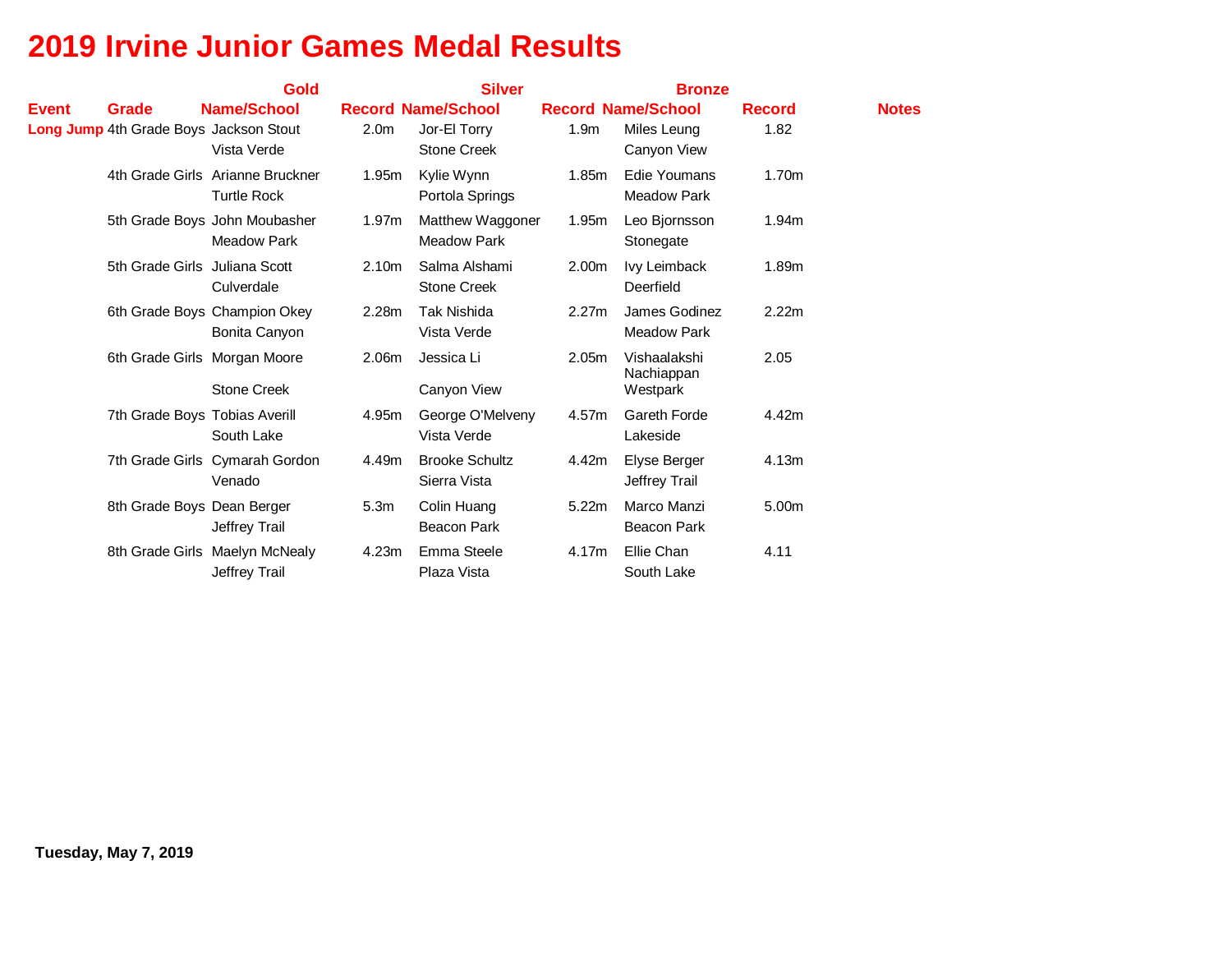|       |                                               | <b>Gold</b>                              |                   | <b>Silver</b>                         |                  | <b>Bronze</b>                     |               |              |  |  |
|-------|-----------------------------------------------|------------------------------------------|-------------------|---------------------------------------|------------------|-----------------------------------|---------------|--------------|--|--|
| Event | Grade                                         | Name/School                              |                   | <b>Record Name/School</b>             |                  | <b>Record Name/School</b>         | <b>Record</b> | <b>Notes</b> |  |  |
|       | <b>Long Jump</b> 4th Grade Boys Jackson Stout |                                          | 2.0 <sub>m</sub>  | Jor-El Torry                          | 1.9 <sub>m</sub> | Miles Leung                       | 1.82          |              |  |  |
|       |                                               | Vista Verde                              |                   | <b>Stone Creek</b>                    |                  | Canyon View                       |               |              |  |  |
|       |                                               | 4th Grade Girls Arianne Bruckner         | 1.95m             | Kylie Wynn                            | 1.85m            | Edie Youmans                      | 1.70m         |              |  |  |
|       |                                               | <b>Turtle Rock</b>                       |                   | Portola Springs                       |                  | <b>Meadow Park</b>                |               |              |  |  |
|       |                                               | 5th Grade Boys John Moubasher            | 1.97m             | Matthew Waggoner                      | 1.95m            | Leo Bjornsson                     | 1.94m         |              |  |  |
|       |                                               | <b>Meadow Park</b>                       |                   | <b>Meadow Park</b>                    |                  | Stonegate                         |               |              |  |  |
|       | 5th Grade Girls Juliana Scott                 |                                          | 2.10 <sub>m</sub> | Salma Alshami                         | 2.00m            | Ivy Leimback                      | 1.89m         |              |  |  |
|       |                                               | Culverdale                               |                   | <b>Stone Creek</b>                    |                  | Deerfield                         |               |              |  |  |
|       |                                               | 6th Grade Boys Champion Okey             | 2.28m             | <b>Tak Nishida</b>                    | 2.27m            | James Godinez                     | 2.22m         |              |  |  |
|       |                                               | Bonita Canyon                            |                   | Vista Verde                           |                  | <b>Meadow Park</b>                |               |              |  |  |
|       | 6th Grade Girls Morgan Moore                  |                                          | 2.06m             | Jessica Li                            | 2.05m            | Vishaalakshi                      | 2.05          |              |  |  |
|       |                                               | <b>Stone Creek</b>                       |                   | Canyon View                           |                  | Nachiappan<br>Westpark            |               |              |  |  |
|       |                                               |                                          |                   |                                       |                  | Gareth Forde                      | 4.42m         |              |  |  |
|       | 7th Grade Boys Tobias Averill                 | South Lake                               | 4.95m             | George O'Melveny<br>Vista Verde       | 4.57m            | Lakeside                          |               |              |  |  |
|       |                                               |                                          |                   |                                       |                  |                                   |               |              |  |  |
|       |                                               | 7th Grade Girls Cymarah Gordon<br>Venado | 4.49m             | <b>Brooke Schultz</b><br>Sierra Vista | 4.42m            | Elyse Berger<br>Jeffrey Trail     | 4.13m         |              |  |  |
|       |                                               |                                          |                   |                                       |                  |                                   |               |              |  |  |
|       | 8th Grade Boys Dean Berger                    |                                          | 5.3 <sub>m</sub>  | Colin Huang<br><b>Beacon Park</b>     | 5.22m            | Marco Manzi<br><b>Beacon Park</b> | 5.00m         |              |  |  |
|       |                                               | Jeffrey Trail                            |                   |                                       |                  |                                   |               |              |  |  |
|       |                                               | 8th Grade Girls Maelyn McNealy           | 4.23m             | Emma Steele                           | 4.17m            | Ellie Chan                        | 4.11          |              |  |  |
|       |                                               | Jeffrey Trail                            |                   | Plaza Vista                           |                  | South Lake                        |               |              |  |  |